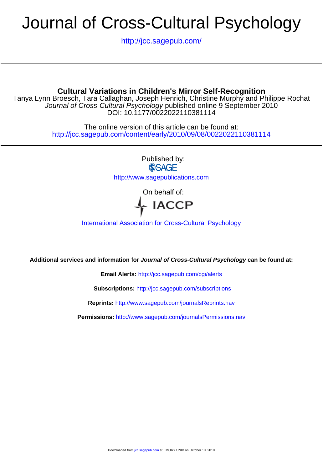# Journal of Cross-Cultural Psychology

<http://jcc.sagepub.com/>

# **Cultural Variations in Children's Mirror Self-Recognition**

DOI: 10.1177/0022022110381114 Journal of Cross-Cultural Psychology published online 9 September 2010 Tanya Lynn Broesch, Tara Callaghan, Joseph Henrich, Christine Murphy and Philippe Rochat

> <http://jcc.sagepub.com/content/early/2010/09/08/0022022110381114> The online version of this article can be found at:

> > Published by: **SSAGE** <http://www.sagepublications.com> On behalf of:

> > > **IACCP**

[International Association for Cross-Cultural Psychology](http://www.iaccp.org/)

**Additional services and information for Journal of Cross-Cultural Psychology can be found at:**

**Email Alerts:** <http://jcc.sagepub.com/cgi/alerts>

**Subscriptions:** <http://jcc.sagepub.com/subscriptions>

**Reprints:** <http://www.sagepub.com/journalsReprints.nav>

**Permissions:** <http://www.sagepub.com/journalsPermissions.nav>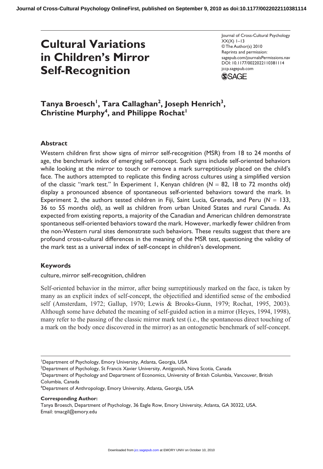# **Cultural Variations in Children's Mirror Self-Recognition**

Journal of Cross-Cultural Psychology  $XX(X)$  1–13 © The Author(s) 2010 Reprints and permission: sagepub.com/journalsPermissions.nav DOI: 10.1177/0022022110381114 jccp.sagepub.com **SSAGE** 

Tanya Broesch<sup>I</sup>, Tara Callaghan<sup>2</sup>, Joseph Henrich<sup>3</sup>, Christine Murphy<sup>4</sup>, and Philippe Rochat<sup>1</sup>

#### **Abstract**

Western children first show signs of mirror self-recognition (MSR) from 18 to 24 months of age, the benchmark index of emerging self-concept. Such signs include self-oriented behaviors while looking at the mirror to touch or remove a mark surreptitiously placed on the child's face. The authors attempted to replicate this finding across cultures using a simplified version of the classic "mark test." In Experiment 1, Kenyan children (*N* = 82, 18 to 72 months old) display a pronounced absence of spontaneous self-oriented behaviors toward the mark. In Experiment 2, the authors tested children in Fiji, Saint Lucia, Grenada, and Peru (*N* = 133, 36 to 55 months old), as well as children from urban United States and rural Canada. As expected from existing reports, a majority of the Canadian and American children demonstrate spontaneous self-oriented behaviors toward the mark. However, markedly fewer children from the non-Western rural sites demonstrate such behaviors. These results suggest that there are profound cross-cultural differences in the meaning of the MSR test, questioning the validity of the mark test as a universal index of self-concept in children's development.

#### **Keywords**

culture, mirror self-recognition, children

Self-oriented behavior in the mirror, after being surreptitiously marked on the face, is taken by many as an explicit index of self-concept, the objectified and identified sense of the embodied self (Amsterdam, 1972; Gallup, 1970; Lewis & Brooks-Gunn, 1979; Rochat, 1995, 2003). Although some have debated the meaning of self-guided action in a mirror (Heyes, 1994, 1998), many refer to the passing of the classic mirror mark test (i.e., the spontaneous direct touching of a mark on the body once discovered in the mirror) as an ontogenetic benchmark of self-concept.

<sup>3</sup>Department of Psychology and Department of Economics, University of British Columbia, Vancouver, British Columbia, Canada

**Corresponding Author:**

Tanya Broesch, Department of Psychology, 36 Eagle Row, Emory University, Atlanta, GA 30322, USA. Email: tmacgil@emory.edu

<sup>&</sup>lt;sup>1</sup>Department of Psychology, Emory University, Atlanta, Georgia, USA

 $^2$ Department of Psychology, St Francis Xavier University, Antigonish, Nova Scotia, Canada

<sup>4</sup> Department of Anthropology, Emory University, Atlanta, Georgia, USA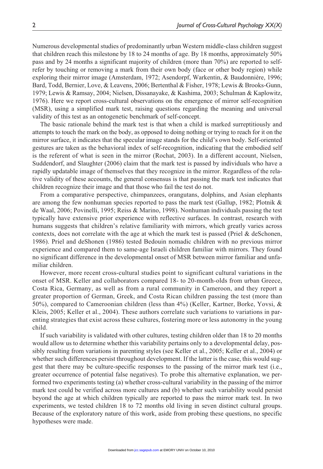Numerous developmental studies of predominantly urban Western middle-class children suggest that children reach this milestone by 18 to 24 months of age. By 18 months, approximately 50% pass and by 24 months a significant majority of children (more than 70%) are reported to selfrefer by touching or removing a mark from their own body (face or other body region) while exploring their mirror image (Amsterdam, 1972; Asendorpf, Warkentin, & Baudonnière, 1996; Bard, Todd, Bernier, Love, & Leavens, 2006; Bertenthal & Fisher, 1978; Lewis & Brooks-Gunn, 1979; Lewis & Ramsay, 2004; Nielsen, Dissanayake, & Kashima, 2003; Schulman & Kaplowitz, 1976). Here we report cross-cultural observations on the emergence of mirror self-recognition (MSR), using a simplified mark test, raising questions regarding the meaning and universal validity of this test as an ontogenetic benchmark of self-concept.

The basic rationale behind the mark test is that when a child is marked surreptitiously and attempts to touch the mark on the body, as opposed to doing nothing or trying to reach for it on the mirror surface, it indicates that the specular image stands for the child's own body. Self-oriented gestures are taken as the behavioral index of self-recognition, indicating that the embodied self is the referent of what is seen in the mirror (Rochat, 2003). In a different account, Nielsen, Suddendorf, and Slaughter (2006) claim that the mark test is passed by individuals who have a rapidly updatable image of themselves that they recognize in the mirror. Regardless of the relative validity of these accounts, the general consensus is that passing the mark test indicates that children recognize their image and that those who fail the test do not.

From a comparative perspective, chimpanzees, orangutans, dolphins, and Asian elephants are among the few nonhuman species reported to pass the mark test (Gallup, 1982; Plotnik & de Waal, 2006; Povinelli, 1995; Reiss & Marino, 1998). Nonhuman individuals passing the test typically have extensive prior experience with reflective surfaces. In contrast, research with humans suggests that children's relative familiarity with mirrors, which greatly varies across contexts, does not correlate with the age at which the mark test is passed (Priel  $\&$  deSchonen, 1986). Priel and deShonen (1986) tested Bedouin nomadic children with no previous mirror experience and compared them to same-age Israeli children familiar with mirrors. They found no significant difference in the developmental onset of MSR between mirror familiar and unfamiliar children.

However, more recent cross-cultural studies point to significant cultural variations in the onset of MSR. Keller and collaborators compared 18- to 20-month-olds from urban Greece, Costa Rica, Germany, as well as from a rural community in Cameroon, and they report a greater proportion of German, Greek, and Costa Rican children passing the test (more than 50%), compared to Cameroonian children (less than 4%) (Keller, Kartner, Borke, Yovsi, & Kleis, 2005; Keller et al., 2004). These authors correlate such variations to variations in parenting strategies that exist across these cultures, fostering more or less autonomy in the young child.

If such variability is validated with other cultures, testing children older than 18 to 20 months would allow us to determine whether this variability pertains only to a developmental delay, possibly resulting from variations in parenting styles (see Keller et al., 2005; Keller et al., 2004) or whether such differences persist throughout development. If the latter is the case, this would suggest that there may be culture-specific responses to the passing of the mirror mark test (i.e., greater occurrence of potential false negatives). To probe this alternative explanation, we performed two experiments testing (a) whether cross-cultural variability in the passing of the mirror mark test could be verified across more cultures and (b) whether such variability would persist beyond the age at which children typically are reported to pass the mirror mark test. In two experiments, we tested children 18 to 72 months old living in seven distinct cultural groups. Because of the exploratory nature of this work, aside from probing these questions, no specific hypotheses were made.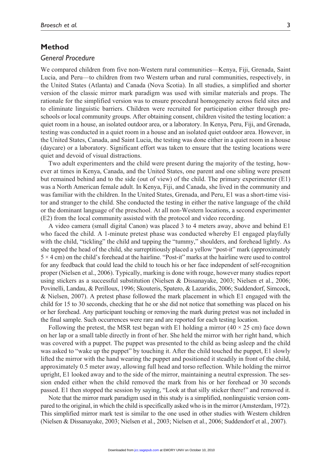## **Method**

#### *General Procedure*

We compared children from five non-Western rural communities—Kenya, Fiji, Grenada, Saint Lucia, and Peru—to children from two Western urban and rural communities, respectively, in the United States (Atlanta) and Canada (Nova Scotia). In all studies, a simplified and shorter version of the classic mirror mark paradigm was used with similar materials and props. The rationale for the simplified version was to ensure procedural homogeneity across field sites and to eliminate linguistic barriers. Children were recruited for participation either through preschools or local community groups. After obtaining consent, children visited the testing location: a quiet room in a house, an isolated outdoor area, or a laboratory. In Kenya, Peru, Fiji, and Grenada, testing was conducted in a quiet room in a house and an isolated quiet outdoor area. However, in the United States, Canada, and Saint Lucia, the testing was done either in a quiet room in a house (daycare) or a laboratory. Significant effort was taken to ensure that the testing locations were quiet and devoid of visual distractions.

Two adult experimenters and the child were present during the majority of the testing, however at times in Kenya, Canada, and the United States, one parent and one sibling were present but remained behind and to the side (out of view) of the child. The primary experimenter (E1) was a North American female adult. In Kenya, Fiji, and Canada, she lived in the community and was familiar with the children. In the United States, Grenada, and Peru, E1 was a short-time visitor and stranger to the child. She conducted the testing in either the native language of the child or the dominant language of the preschool. At all non-Western locations, a second experimenter (E2) from the local community assisted with the protocol and video recording.

A video camera (small digital Canon) was placed 3 to 4 meters away, above and behind E1 who faced the child. A 1-minute pretest phase was conducted whereby E1 engaged playfully with the child, "tickling" the child and tapping the "tummy," shoulders, and forehead lightly. As she tapped the head of the child, she surreptitiously placed a yellow "post-it" mark (approximately  $5 \times 4$  cm) on the child's forehead at the hairline. "Post-it" marks at the hairline were used to control for any feedback that could lead the child to touch his or her face independent of self-recognition proper (Nielsen et al., 2006). Typically, marking is done with rouge, however many studies report using stickers as a successful substitution (Nielsen & Dissanayake, 2003; Nielsen et al., 2006; Povinelli, Landau, & Perilloux, 1996; Skouteris, Spatero, & Lazaridis, 2006; Suddendorf, Simcock, & Nielsen, 2007). A pretest phase followed the mark placement in which E1 engaged with the child for 15 to 30 seconds, checking that he or she did not notice that something was placed on his or her forehead. Any participant touching or removing the mark during pretest was not included in the final sample. Such occurrences were rare and are reported for each testing location.

Following the pretest, the MSR test began with E1 holding a mirror  $(40 \times 25 \text{ cm})$  face down on her lap or a small table directly in front of her. She held the mirror with her right hand, which was covered with a puppet. The puppet was presented to the child as being asleep and the child was asked to "wake up the puppet" by touching it. After the child touched the puppet, E1 slowly lifted the mirror with the hand wearing the puppet and positioned it steadily in front of the child, approximately 0.5 meter away, allowing full head and torso reflection. While holding the mirror upright, E1 looked away and to the side of the mirror, maintaining a neutral expression. The session ended either when the child removed the mark from his or her forehead or 30 seconds passed. E1 then stopped the session by saying, "Look at that silly sticker there!" and removed it.

Note that the mirror mark paradigm used in this study is a simplified, nonlinguistic version compared to the original, in which the child is specifically asked who is in the mirror (Amsterdam, 1972). This simplified mirror mark test is similar to the one used in other studies with Western children (Nielsen & Dissanayake, 2003; Nielsen et al., 2003; Nielsen et al., 2006; Suddendorf et al., 2007).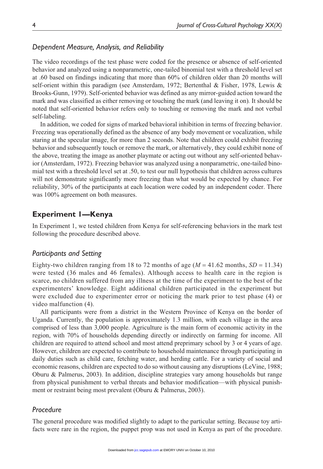# *Dependent Measure, Analysis, and Reliability*

The video recordings of the test phase were coded for the presence or absence of self-oriented behavior and analyzed using a nonparametric, one-tailed binomial test with a threshold level set at .60 based on findings indicating that more than 60% of children older than 20 months will self-orient within this paradigm (see Amsterdam, 1972; Bertenthal & Fisher, 1978, Lewis & Brooks-Gunn, 1979). Self-oriented behavior was defined as any mirror-guided action toward the mark and was classified as either removing or touching the mark (and leaving it on)*.* It should be noted that self-oriented behavior refers only to touching or removing the mark and not verbal self-labeling.

In addition, we coded for signs of marked behavioral inhibition in terms of freezing behavior. Freezing was operationally defined as the absence of any body movement or vocalization, while staring at the specular image, for more than 2 seconds. Note that children could exhibit freezing behavior and subsequently touch or remove the mark, or alternatively, they could exhibit none of the above, treating the image as another playmate or acting out without any self-oriented behavior (Amsterdam, 1972). Freezing behavior was analyzed using a nonparametric, one-tailed binomial test with a threshold level set at .50, to test our null hypothesis that children across cultures will not demonstrate significantly more freezing than what would be expected by chance. For reliability, 30% of the participants at each location were coded by an independent coder. There was 100% agreement on both measures.

# **Experiment 1—Kenya**

In Experiment 1, we tested children from Kenya for self-referencing behaviors in the mark test following the procedure described above.

#### *Participants and Setting*

Eighty-two children ranging from 18 to 72 months of age ( $M = 41.62$  months,  $SD = 11.34$ ) were tested (36 males and 46 females). Although access to health care in the region is scarce, no children suffered from any illness at the time of the experiment to the best of the experimenters' knowledge. Eight additional children participated in the experiment but were excluded due to experimenter error or noticing the mark prior to test phase (4) or video malfunction (4).

All participants were from a district in the Western Province of Kenya on the border of Uganda. Currently, the population is approximately 1.3 million, with each village in the area comprised of less than 3,000 people. Agriculture is the main form of economic activity in the region, with 70% of households depending directly or indirectly on farming for income. All children are required to attend school and most attend preprimary school by 3 or 4 years of age. However, children are expected to contribute to household maintenance through participating in daily duties such as child care, fetching water, and herding cattle. For a variety of social and economic reasons, children are expected to do so without causing any disruptions (LeVine, 1988; Oburu & Palmerus, 2003). In addition, discipline strategies vary among households but range from physical punishment to verbal threats and behavior modification—with physical punishment or restraint being most prevalent (Oburu & Palmerus, 2003).

#### *Procedure*

The general procedure was modified slightly to adapt to the particular setting. Because toy artifacts were rare in the region, the puppet prop was not used in Kenya as part of the procedure.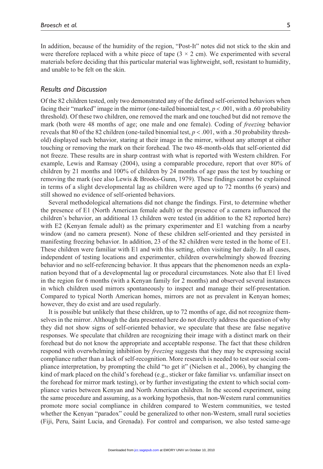In addition, because of the humidity of the region, "Post-It" notes did not stick to the skin and were therefore replaced with a white piece of tape  $(3 \times 2 \text{ cm})$ . We experimented with several materials before deciding that this particular material was lightweight, soft, resistant to humidity, and unable to be felt on the skin.

#### *Results and Discussion*

Of the 82 children tested, only two demonstrated any of the defined self-oriented behaviors when facing their "marked" image in the mirror (one-tailed binomial test,  $p < .001$ , with a .60 probability threshold). Of these two children, one removed the mark and one touched but did not remove the mark (both were 48 months of age; one male and one female). Coding of *freezing* behavior reveals that 80 of the 82 children (one-tailed binomial test,  $p < .001$ , with a .50 probability threshold) displayed such behavior, staring at their image in the mirror, without any attempt at either touching or removing the mark on their forehead. The two 48-month-olds that self-oriented did not freeze. These results are in sharp contrast with what is reported with Western children. For example, Lewis and Ramsay (2004), using a comparable procedure, report that over 80% of children by 21 months and 100% of children by 24 months of age pass the test by touching or removing the mark (see also Lewis & Brooks-Gunn, 1979). These findings cannot be explained in terms of a slight developmental lag as children were aged up to 72 months (6 years) and still showed no evidence of self-oriented behaviors.

Several methodological alternations did not change the findings. First, to determine whether the presence of E1 (North American female adult) or the presence of a camera influenced the children's behavior, an additional 13 children were tested (in addition to the 82 reported here) with E2 (Kenyan female adult) as the primary experimenter and E1 watching from a nearby window (and no camera present). None of these children self-oriented and they persisted in manifesting freezing behavior. In addition, 23 of the 82 children were tested in the home of E1. These children were familiar with E1 and with this setting, often visiting her daily. In all cases, independent of testing locations and experimenter, children overwhelmingly showed freezing behavior and no self-referencing behavior. It thus appears that the phenomenon needs an explanation beyond that of a developmental lag or procedural circumstances. Note also that E1 lived in the region for 6 months (with a Kenyan family for 2 months) and observed several instances in which children used mirrors spontaneously to inspect and manage their self-presentation. Compared to typical North American homes, mirrors are not as prevalent in Kenyan homes; however, they do exist and are used regularly.

It is possible but unlikely that these children, up to 72 months of age, did not recognize themselves in the mirror. Although the data presented here do not directly address the question of why they did not show signs of self-oriented behavior, we speculate that these are false negative responses. We speculate that children are recognizing their image with a distinct mark on their forehead but do not know the appropriate and acceptable response. The fact that these children respond with overwhelming inhibition by *freezing* suggests that they may be expressing social compliance rather than a lack of self-recognition. More research is needed to test our social compliance interpretation, by prompting the child "to get it" (Nielsen et al., 2006), by changing the kind of mark placed on the child's forehead (e.g., sticker or fake familiar vs. unfamiliar insect on the forehead for mirror mark testing), or by further investigating the extent to which social compliance varies between Kenyan and North American children. In the second experiment, using the same procedure and assuming, as a working hypothesis, that non-Western rural communities promote more social compliance in children compared to Western communities, we tested whether the Kenyan "paradox" could be generalized to other non-Western, small rural societies (Fiji, Peru, Saint Lucia, and Grenada). For control and comparison, we also tested same-age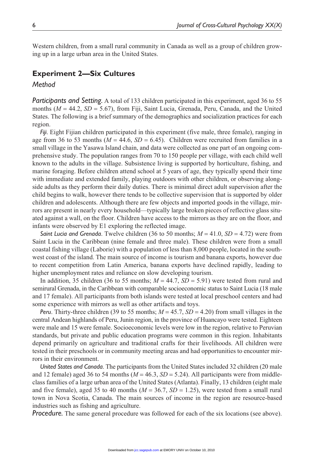Western children, from a small rural community in Canada as well as a group of children growing up in a large urban area in the United States.

# **Experiment 2—Six Cultures**

*Method*

*Participants and Setting.* A total of 133 children participated in this experiment, aged 36 to 55 months (*M* = 44.2, *SD* = 5.67), from Fiji, Saint Lucia, Grenada, Peru, Canada, and the United States. The following is a brief summary of the demographics and socialization practices for each region.

*Fiji*. Eight Fijian children participated in this experiment (five male, three female), ranging in age from 36 to 53 months ( $M = 44.6$ ,  $SD = 6.45$ ). Children were recruited from families in a small village in the Yasawa Island chain, and data were collected as one part of an ongoing comprehensive study. The population ranges from 70 to 150 people per village, with each child well known to the adults in the village. Subsistence living is supported by horticulture, fishing, and marine foraging. Before children attend school at 5 years of age, they typically spend their time with immediate and extended family, playing outdoors with other children, or observing alongside adults as they perform their daily duties. There is minimal direct adult supervision after the child begins to walk, however there tends to be collective supervision that is supported by older children and adolescents. Although there are few objects and imported goods in the village, mirrors are present in nearly every household—typically large broken pieces of reflective glass situated against a wall, on the floor. Children have access to the mirrors as they are on the floor, and infants were observed by E1 exploring the reflected image.

*Saint Lucia and Grenada.* Twelve children (36 to 50 months;  $M = 41.0$ ,  $SD = 4.72$ ) were from Saint Lucia in the Caribbean (nine female and three male). These children were from a small coastal fishing village (Laborie) with a population of less than 8,000 people, located in the southwest coast of the island. The main source of income is tourism and banana exports, however due to recent competition from Latin America, banana exports have declined rapidly, leading to higher unemployment rates and reliance on slow developing tourism.

In addition, 35 children (36 to 55 months;  $M = 44.7$ ,  $SD = 5.91$ ) were tested from rural and semirural Grenada, in the Caribbean with comparable socioeconomic status to Saint Lucia (18 male and 17 female). All participants from both islands were tested at local preschool centers and had some experience with mirrors as well as other artifacts and toys.

*Peru.* Thirty-three children (39 to 55 months;  $M = 45.7$ ,  $SD = 4.20$ ) from small villages in the central Andean highlands of Peru, Junin region, in the province of Huancayo were tested. Eighteen were male and 15 were female. Socioeconomic levels were low in the region, relative to Peruvian standards, but private and public education programs were common in this region. Inhabitants depend primarily on agriculture and traditional crafts for their livelihoods. All children were tested in their preschools or in community meeting areas and had opportunities to encounter mirrors in their environment.

*United States and Canada*. The participants from the United States included 32 children (20 male and 12 female) aged 36 to 54 months ( $M = 46.3$ ,  $SD = 5.24$ ). All participants were from middleclass families of a large urban area of the United States (Atlanta). Finally, 13 children (eight male and five female), aged 35 to 40 months  $(M = 36.7, SD = 1.25)$ , were tested from a small rural town in Nova Scotia, Canada. The main sources of income in the region are resource-based industries such as fishing and agriculture.

*Procedure.* The same general procedure was followed for each of the six locations (see above).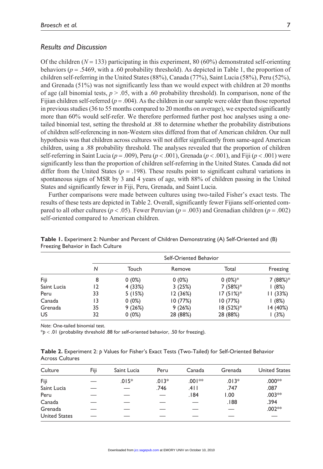## *Results and Discussion*

Of the children  $(N = 133)$  participating in this experiment, 80 (60%) demonstrated self-orienting behaviors (*p* = .5469, with a .60 probability threshold). As depicted in Table 1, the proportion of children self-referring in the United States (88%), Canada (77%), Saint Lucia (58%), Peru (52%), and Grenada (51%) was not significantly less than we would expect with children at 20 months of age (all binomial tests,  $p > 0.05$ , with a .60 probability threshold). In comparison, none of the Fijian children self-referred  $(p = .004)$ . As the children in our sample were older than those reported in previous studies (36 to 55 months compared to 20 months on average), we expected significantly more than 60% would self-refer. We therefore performed further post hoc analyses using a onetailed binomial test, setting the threshold at .88 to determine whether the probability distributions of children self-referencing in non-Western sites differed from that of American children. Our null hypothesis was that children across cultures will not differ significantly from same-aged American children, using a .88 probability threshold. The analyses revealed that the proportion of children self-referring in Saint Lucia ( $p = .009$ ), Peru ( $p < .001$ ), Grenada ( $p < .001$ ), and Fiji ( $p < .001$ ) were significantly less than the proportion of children self-referring in the United States. Canada did not differ from the United States ( $p = .198$ ). These results point to significant cultural variations in spontaneous signs of MSR by 3 and 4 years of age, with 88% of children passing in the United States and significantly fewer in Fiji, Peru, Grenada, and Saint Lucia.

Further comparisons were made between cultures using two-tailed Fisher's exact tests. The results of these tests are depicted in Table 2. Overall, significantly fewer Fijians self-oriented compared to all other cultures ( $p < .05$ ). Fewer Peruvian ( $p = .003$ ) and Grenadian children ( $p = .002$ ) self-oriented compared to American children.

|             | Self-Oriented Behavior |          |          |             |          |  |
|-------------|------------------------|----------|----------|-------------|----------|--|
|             | Ν                      | Touch    | Remove   | Total       | Freezing |  |
| Fiji        | 8                      | $0(0\%)$ | $0(0\%)$ | $0(0\%)*$   | 7 (88%)* |  |
| Saint Lucia | 12                     | 4 (33%)  | 3(25%)   | $7(58%)*$   | (8%)     |  |
| Peru        | 33                     | 5(15%)   | 12(36%)  | $17(51%)$ * | 11(33%)  |  |
| Canada      | ۱3                     | $0(0\%)$ | 10(77%)  | 10(77%)     | (8%)     |  |
| Grenada     | 35                     | 9(26%)   | 9(26%)   | 18 (52%)*   | 14 (40%) |  |
| US          | 32                     | $0(0\%)$ | 28 (88%) | 28 (88%)    | (3%)     |  |

**Table 1.** Experiment 2: Number and Percent of Children Demonstrating (A) Self-Oriented and (B) Freezing Behavior in Each Culture

*Note*: One-tailed binomial test.

\**p* < .01 (probability threshold .88 for self-oriented behavior, .50 for freezing).

| Table 2. Experiment 2: p Values for Fisher's Exact Tests (Two-Tailed) for Self-Oriented Behavior |  |  |
|--------------------------------------------------------------------------------------------------|--|--|
| Across Cultures                                                                                  |  |  |

| Culture              | Fiii | Saint Lucia | Peru    | Canada   | Grenada | <b>United States</b> |
|----------------------|------|-------------|---------|----------|---------|----------------------|
| Fiji                 |      | $.015*$     | $.013*$ | $.001**$ | $.013*$ | $.000**$             |
| Saint Lucia          |      |             | .746    | .411     | .747    | .087                 |
| Peru                 |      |             |         | .184     | 1.00    | $.003**$             |
| Canada               |      |             |         |          | .188    | .394                 |
| Grenada              |      |             |         |          |         | .002**               |
| <b>United States</b> |      |             |         |          |         |                      |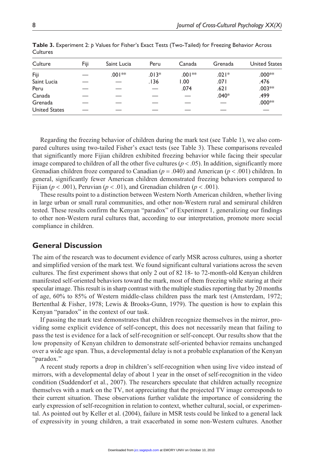| <b>Table 3.</b> Experiment 2: p Values for Fisher's Exact Tests (Two-Tailed) for Freezing Behavior Across |  |  |
|-----------------------------------------------------------------------------------------------------------|--|--|

| Culture              | Fiji | Saint Lucia | Peru    | Canada   | Grenada | <b>United States</b> |
|----------------------|------|-------------|---------|----------|---------|----------------------|
| Fiji                 |      | $.001**$    | $.013*$ | $.001**$ | $.021*$ | $.000**$             |
| Saint Lucia          |      |             | .136    | 1.00     | .071    | .476                 |
| Peru                 |      |             |         | .074     | .621    | $.003**$             |
| Canada               |      |             |         |          | $.040*$ | .499                 |
| Grenada              |      |             |         |          |         | .000**               |
| <b>United States</b> |      |             |         |          |         |                      |

Regarding the freezing behavior of children during the mark test (see Table 1), we also compared cultures using two-tailed Fisher's exact tests (see Table 3). These comparisons revealed that significantly more Fijian children exhibited freezing behavior while facing their specular image compared to children of all the other five cultures ( $p < .05$ ). In addition, significantly more Grenadian children froze compared to Canadian (*p* = .040) and American (*p* < .001) children. In general, significantly fewer American children demonstrated freezing behaviors compared to Fijian ( $p < .001$ ), Peruvian ( $p < .01$ ), and Grenadian children ( $p < .001$ ).

These results point to a distinction between Western North American children, whether living in large urban or small rural communities, and other non-Western rural and semirural children tested. These results confirm the Kenyan "paradox" of Experiment 1, generalizing our findings to other non-Western rural cultures that, according to our interpretation, promote more social compliance in children.

# **General Discussion**

The aim of the research was to document evidence of early MSR across cultures, using a shorter and simplified version of the mark test. We found significant cultural variations across the seven cultures. The first experiment shows that only 2 out of 82 18- to 72-month-old Kenyan children manifested self-oriented behaviors toward the mark, most of them freezing while staring at their specular image. This result is in sharp contrast with the multiple studies reporting that by 20 months of age, 60% to 85% of Western middle-class children pass the mark test (Amsterdam, 1972; Bertenthal & Fisher, 1978; Lewis & Brooks-Gunn, 1979). The question is how to explain this Kenyan "paradox" in the context of our task.

If passing the mark test demonstrates that children recognize themselves in the mirror, providing some explicit evidence of self-concept, this does not necessarily mean that failing to pass the test is evidence for a lack of self-recognition or self-concept. Our results show that the low propensity of Kenyan children to demonstrate self-oriented behavior remains unchanged over a wide age span. Thus, a developmental delay is not a probable explanation of the Kenyan "paradox."

A recent study reports a drop in children's self-recognition when using live video instead of mirrors, with a developmental delay of about 1 year in the onset of self-recognition in the video condition (Suddendorf et al., 2007). The researchers speculate that children actually recognize themselves with a mark on the TV, not appreciating that the projected TV image corresponds to their current situation. These observations further validate the importance of considering the early expression of self-recognition in relation to context, whether cultural, social, or experimental. As pointed out by Keller et al. (2004), failure in MSR tests could be linked to a general lack of expressivity in young children, a trait exacerbated in some non-Western cultures. Another

Cultures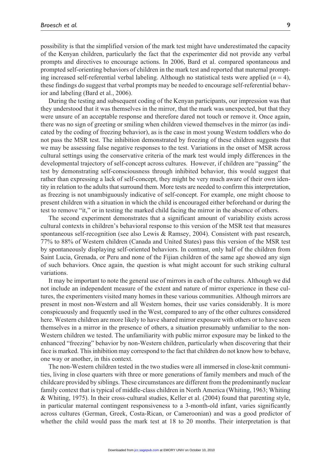possibility is that the simplified version of the mark test might have underestimated the capacity of the Kenyan children, particularly the fact that the experimenter did not provide any verbal prompts and directives to encourage actions. In 2006, Bard et al. compared spontaneous and prompted self-orienting behaviors of children in the mark test and reported that maternal prompting increased self-referential verbal labeling. Although no statistical tests were applied  $(n = 4)$ , these findings do suggest that verbal prompts may be needed to encourage self-referential behavior and labeling (Bard et al., 2006).

During the testing and subsequent coding of the Kenyan participants, our impression was that they understood that it was themselves in the mirror, that the mark was unexpected, but that they were unsure of an acceptable response and therefore dared not touch or remove it. Once again, there was no sign of greeting or smiling when children viewed themselves in the mirror (as indicated by the coding of freezing behavior), as is the case in most young Western toddlers who do not pass the MSR test. The inhibition demonstrated by freezing of these children suggests that we may be assessing false negative responses to the test. Variations in the onset of MSR across cultural settings using the conservative criteria of the mark test would imply differences in the developmental trajectory of self-concept across cultures. However, if children are "passing" the test by demonstrating self-consciousness through inhibited behavior, this would suggest that rather than expressing a lack of self-concept, they might be very much aware of their own identity in relation to the adults that surround them. More tests are needed to confirm this interpretation, as freezing is not unambiguously indicative of self-concept. For example, one might choose to present children with a situation in which the child is encouraged either beforehand or during the test to remove "it," or in testing the marked child facing the mirror in the absence of others.

The second experiment demonstrates that a significant amount of variability exists across cultural contexts in children's behavioral response to this version of the MSR test that measures spontaneous self-recognition (see also Lewis & Ramsey, 2004). Consistent with past research, 77% to 88% of Western children (Canada and United States) pass this version of the MSR test by spontaneously displaying self-oriented behaviors. In contrast, only half of the children from Saint Lucia, Grenada, or Peru and none of the Fijian children of the same age showed any sign of such behaviors. Once again, the question is what might account for such striking cultural variations.

It may be important to note the general use of mirrors in each of the cultures. Although we did not include an independent measure of the extent and nature of mirror experience in these cultures, the experimenters visited many homes in these various communities. Although mirrors are present in most non-Western and all Western homes, their use varies considerably. It is more conspicuously and frequently used in the West, compared to any of the other cultures considered here. Western children are more likely to have shared mirror exposure with others or to have seen themselves in a mirror in the presence of others, a situation presumably unfamiliar to the non-Western children we tested. The unfamiliarity with public mirror exposure may be linked to the enhanced "freezing" behavior by non-Western children, particularly when discovering that their face is marked. This inhibition may correspond to the fact that children do not know how to behave, one way or another, in this context.

The non-Western children tested in the two studies were all immersed in close-knit communities, living in close quarters with three or more generations of family members and much of the childcare provided by siblings. These circumstances are different from the predominantly nuclear family context that is typical of middle-class children in North America (Whiting, 1963; Whiting & Whiting, 1975). In their cross-cultural studies, Keller et al. (2004) found that parenting style, in particular maternal contingent responsiveness to a 3-month-old infant, varies significantly across cultures (German, Greek, Costa-Rican, or Cameroonian) and was a good predictor of whether the child would pass the mark test at 18 to 20 months. Their interpretation is that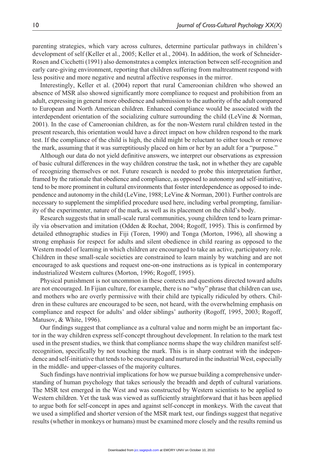parenting strategies, which vary across cultures, determine particular pathways in children's development of self (Keller et al., 2005; Keller et al., 2004). In addition, the work of Schneider-Rosen and Cicchetti (1991) also demonstrates a complex interaction between self-recognition and early care-giving environment, reporting that children suffering from maltreatment respond with less positive and more negative and neutral affective responses in the mirror.

Interestingly, Keller et al. (2004) report that rural Cameroonian children who showed an absence of MSR also showed significantly more compliance to request and prohibition from an adult, expressing in general more obedience and submission to the authority of the adult compared to European and North American children. Enhanced compliance would be associated with the interdependent orientation of the socializing culture surrounding the child (LeVine & Norman, 2001). In the case of Cameroonian children, as for the non-Western rural children tested in the present research, this orientation would have a direct impact on how children respond to the mark test. If the compliance of the child is high, the child might be reluctant to either touch or remove the mark, assuming that it was surreptitiously placed on him or her by an adult for a "purpose."

Although our data do not yield definitive answers, we interpret our observations as expression of basic cultural differences in the way children construe the task, not in whether they are capable of recognizing themselves or not. Future research is needed to probe this interpretation further, framed by the rationale that obedience and compliance, as opposed to autonomy and self-initiative, tend to be more prominent in cultural environments that foster interdependence as opposed to independence and autonomy in the child (LeVine, 1988; LeVine & Norman, 2001). Further controls are necessary to supplement the simplified procedure used here, including verbal prompting, familiarity of the experimenter, nature of the mark, as well as its placement on the child's body.

Research suggests that in small-scale rural communities, young children tend to learn primarily via observation and imitation (Odden & Rochat, 2004; Rogoff, 1995). This is confirmed by detailed ethnographic studies in Fiji (Toren, 1990) and Tonga (Morton, 1996), all showing a strong emphasis for respect for adults and silent obedience in child rearing as opposed to the Western model of learning in which children are encouraged to take an active, participatory role. Children in these small-scale societies are constrained to learn mainly by watching and are not encouraged to ask questions and request one-on-one instructions as is typical in contemporary industrialized Western cultures (Morton, 1996; Rogoff, 1995).

Physical punishment is not uncommon in these contexts and questions directed toward adults are not encouraged. In Fijian culture, for example, there is no "why" phrase that children can use, and mothers who are overly permissive with their child are typically ridiculed by others. Children in these cultures are encouraged to be seen, not heard, with the overwhelming emphasis on compliance and respect for adults' and older siblings' authority (Rogoff, 1995, 2003; Rogoff, Matusov, & White, 1996).

Our findings suggest that compliance as a cultural value and norm might be an important factor in the way children express self-concept throughout development. In relation to the mark test used in the present studies, we think that compliance norms shape the way children manifest selfrecognition, specifically by not touching the mark. This is in sharp contrast with the independence and self-initiative that tends to be encouraged and nurtured in the industrial West, especially in the middle- and upper-classes of the majority cultures.

Such findings have nontrivial implications for how we pursue building a comprehensive understanding of human psychology that takes seriously the breadth and depth of cultural variations. The MSR test emerged in the West and was constructed by Western scientists to be applied to Western children. Yet the task was viewed as sufficiently straightforward that it has been applied to argue both for self-concept in apes and against self-concept in monkeys. With the caveat that we used a simplified and shorter version of the MSR mark test, our findings suggest that negative results (whether in monkeys or humans) must be examined more closely and the results remind us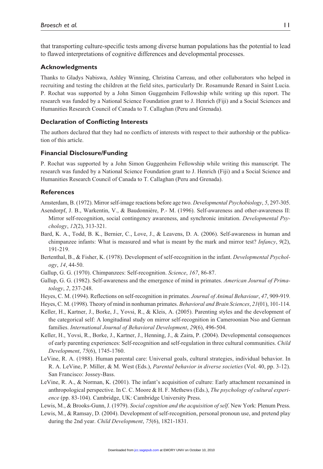that transporting culture-specific tests among diverse human populations has the potential to lead to flawed interpretations of cognitive differences and developmental processes.

#### **Acknowledgments**

Thanks to Gladys Nabiswa, Ashley Winning, Christina Carreau, and other collaborators who helped in recruiting and testing the children at the field sites, particularly Dr. Rosamunde Renard in Saint Lucia. P. Rochat was supported by a John Simon Guggenheim Fellowship while writing up this report. The research was funded by a National Science Foundation grant to J. Henrich (Fiji) and a Social Sciences and Humanities Research Council of Canada to T. Callaghan (Peru and Grenada).

#### **Declaration of Conflicting Interests**

The authors declared that they had no conflicts of interests with respect to their authorship or the publication of this article.

#### **Financial Disclosure/Funding**

P. Rochat was supported by a John Simon Guggenheim Fellowship while writing this manuscript. The research was funded by a National Science Foundation grant to J. Henrich (Fiji) and a Social Science and Humanities Research Council of Canada to T. Callaghan (Peru and Grenada).

#### **References**

Amsterdam, B. (1972). Mirror self-image reactions before age two. *Developmental Psychobiology*, *5*, 297-305.

- Asendorpf, J. B., Warkentin, V., & Baudonnière, P.- M. (1996). Self-awareness and other-awareness II: Mirror self-recognition, social contingency awareness, and synchronic imitation. *Developmental Psychology*, *12*(2), 313-321.
- Bard, K. A., Todd, B. K., Bernier, C., Love, J., & Leavens, D. A. (2006). Self-awareness in human and chimpanzee infants: What is measured and what is meant by the mark and mirror test? *Infancy*, *9*(2), 191-219.
- Bertenthal, B., & Fisher, K. (1978). Development of self-recognition in the infant. *Developmental Psychology*, *14*, 44-50.
- Gallup, G. G. (1970). Chimpanzees: Self-recognition. *Science*, *167*, 86-87.
- Gallup, G. G. (1982). Self-awareness and the emergence of mind in primates. *American Journal of Primatology*, *2*, 237-248.
- Heyes, C. M. (1994). Reflections on self-recognition in primates. *Journal of Animal Behaviour*, *47*, 909-919.
- Heyes, C. M. (1998). Theory of mind in nonhuman primates. *Behavioral and Brain Sciences*, *21*(01), 101-114.
- Keller, H., Kartner, J., Borke, J., Yovsi, R., & Kleis, A. (2005). Parenting styles and the development of the categorical self: A longitudinal study on mirror self-recognition in Cameroonian Nso and German families. *International Journal of Behavioral Development*, *29*(6), 496-504.
- Keller, H., Yovsi, R., Borke, J., Kartner, J., Henning, J., & Zaira, P. (2004). Developmental consequences of early parenting experiences: Self-recognition and self-regulation in three cultural communities. *Child Development*, *75*(6), 1745-1760.
- LeVine, R. A. (1988). Human parental care: Universal goals, cultural strategies, individual behavior. In R. A. LeVine, P. Miller, & M. West (Eds.), *Parental behavior in diverse societies* (Vol. 40, pp. 3-12). San Francisco: Jossey-Bass.
- LeVine, R. A., & Norman, K. (2001). The infant's acquisition of culture: Early attachment reexamined in anthropological perspective. In C. C. Moore & H. F. Methews (Eds.), *The psychology of cultural experience* (pp. 83-104). Cambridge, UK: Cambridge University Press.

Lewis, M., & Brooks-Gunn, J. (1979). *Social cognition and the acquisition of self*. New York: Plenum Press.

Lewis, M., & Ramsay, D. (2004). Development of self-recognition, personal pronoun use, and pretend play during the 2nd year. *Child Development*, *75*(6), 1821-1831.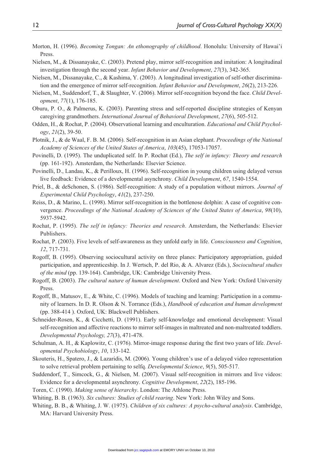- Morton, H. (1996). *Becoming Tongan: An ethonography of childhood*. Honolulu: University of Hawai'i Press.
- Nielsen, M., & Dissanayake, C. (2003). Pretend play, mirror self-recognition and imitation: A longitudinal investigation through the second year. *Infant Behavior and Development*, *27*(3), 342-365.
- Nielsen, M., Dissanayake, C., & Kashima, Y. (2003). A longitudinal investigation of self-other discrimination and the emergence of mirror self-recognition. *Infant Behavior and Development*, *26*(2), 213-226.
- Nielsen, M., Suddendorf, T., & Slaughter, V. (2006). Mirror self-recognition beyond the face. *Child Development*, *77*(1), 176-185.
- Oburu, P. O., & Palmerus, K. (2003). Parenting stress and self-reported discipline strategies of Kenyan caregiving grandmothers. *International Journal of Behavioral Development*, *27*(6), 505-512.
- Odden, H., & Rochat, P. (2004). Observational learning and enculturation. *Educational and Child Psychology*, *21*(2), 39-50.
- Plotnik, J., & de Waal, F. B. M. (2006). Self-recognition in an Asian elephant. *Proceedings of the National Academy of Sciences of the United States of America*, *103*(45), 17053-17057.
- Povinelli, D. (1995). The unduplicated self. In P. Rochat (Ed.), *The self in infancy: Theory and research* (pp. 161-192). Amsterdam, the Netherlands: Elsevier Science.
- Povinelli, D., Landau, K., & Perilloux, H. (1996). Self-recognition in young children using delayed versus live feedback: Evidence of a developmental asynchrony. *Child Development*, *67*, 1540-1554.
- Priel, B., & deSchonen, S. (1986). Self-recognition: A study of a population without mirrors. *Journal of Experimental Child Psychology*, *41*(2), 237-250.
- Reiss, D., & Marino, L. (1998). Mirror self-recognition in the bottlenose dolphin: A case of cognitive convergence. *Proceedings of the National Academy of Sciences of the United States of America*, *98*(10), 5937-5942.
- Rochat, P. (1995). *The self in infancy: Theories and research*. Amsterdam, the Netherlands: Elsevier Publishers.
- Rochat, P. (2003). Five levels of self-awareness as they unfold early in life. *Consciousness and Cognition*, *12*, 717-731.
- Rogoff, B. (1995). Observing sociocultural activity on three planes: Participatory appropriation, guided participation, and apprenticeship. In J. Wertsch, P. del Rio, & A. Alvarez (Eds.), *Sociocultural studies of the mind* (pp. 139-164). Cambridge, UK: Cambridge University Press.
- Rogoff, B. (2003). *The cultural nature of human development*. Oxford and New York: Oxford University Press.
- Rogoff, B., Matusov, E., & White, C. (1996). Models of teaching and learning: Participation in a community of learners. In D. R. Olson & N. Torrance (Eds.), *Handbook of education and human development* (pp. 388-414 ). Oxford, UK: Blackwell Publishers.
- Schneider-Rosen, K., & Cicchetti, D. (1991). Early self-knowledge and emotional development: Visual self-recognition and affective reactions to mirror self-images in maltreated and non-maltreated toddlers. *Developmental Psychology, 27*(3), 471-478.
- Schulman, A. H., & Kaplowitz, C. (1976). Mirror-image response during the first two years of life. *Developmental Psychobiology*, *10*, 133-142.
- Skouteris, H., Spatero, J., & Lazaridis, M. (2006). Young children's use of a delayed video representation to solve retrieval problem pertaining to selfq. *Developmental Science*, *9*(5), 505-517.
- Suddendorf, T., Simcock, G., & Nielsen, M. (2007). Visual self-recognition in mirrors and live videos: Evidence for a developmental asynchrony. *Cognitive Development*, *22*(2), 185-196.
- Toren, C. (1990). *Making sense of hierarchy*. London: The Athlone Press.

Whiting, B. B. (1963). *Six cultures: Studies of child rearing*. New York: John Wiley and Sons.

Whiting, B. B., & Whiting, J. W. (1975). *Children of six cultures: A psycho-cultural analysis*. Cambridge, MA: Harvard University Press.